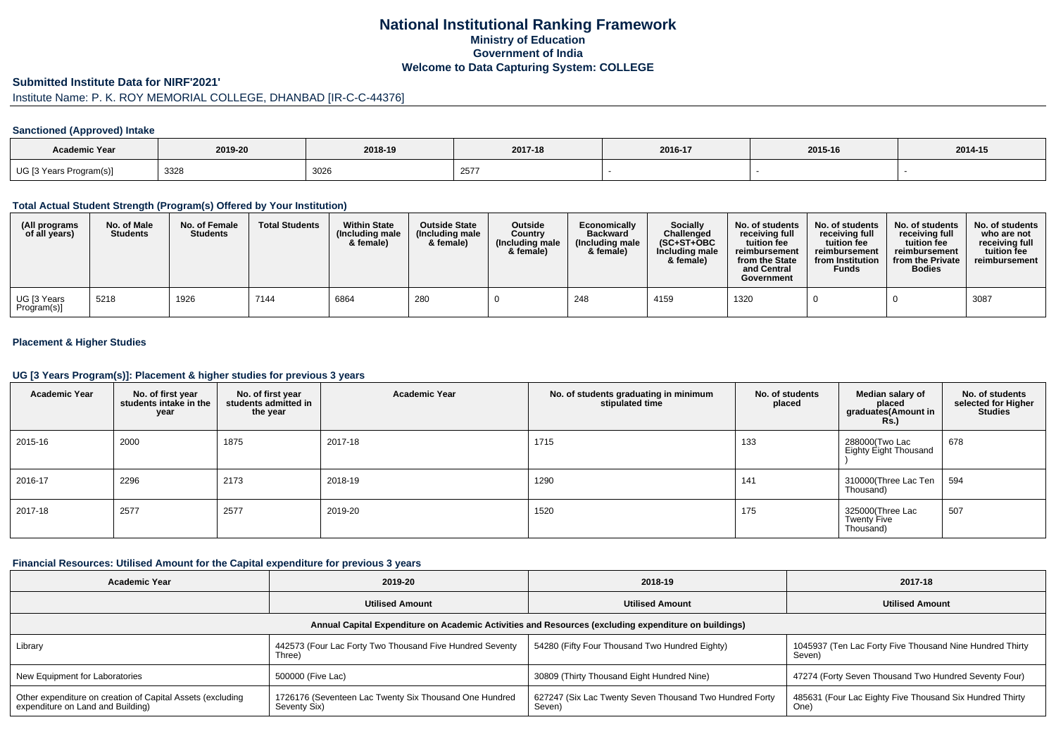## **National Institutional Ranking FrameworkMinistry of Education Government of IndiaWelcome to Data Capturing System: COLLEGE**

### **Submitted Institute Data for NIRF'2021'**

# Institute Name: P. K. ROY MEMORIAL COLLEGE, DHANBAD [IR-C-C-44376]

#### **Sanctioned (Approved) Intake**

| <b>Academic Year</b>                   |         |         |         |         |         |         |
|----------------------------------------|---------|---------|---------|---------|---------|---------|
|                                        | 2019-20 | 2018-19 | 2017-18 | 2016-17 | 2015-16 | 2014-15 |
| UG [3 Years<br>Program(s) <sub>I</sub> | 3328    | 3026    | 257     |         |         |         |

#### **Total Actual Student Strength (Program(s) Offered by Your Institution)**

| (All programs<br>of all years) | No. of Male<br><b>Students</b> | No. of Female<br><b>Students</b> | <b>Total Students</b> | <b>Within State</b><br>(Including male<br>& female) | <b>Outside State</b><br>(Including male<br>& female) | <b>Outside</b><br>Country<br>(Including male<br>& female) | Economically<br><b>Backward</b><br>(Including male)<br>& female) | Socially<br>Challenged<br>$(SC+ST+OBC$<br>Including male<br>& female) | No. of students<br>receivina full<br>tuition fee<br>reimbursement<br>from the State<br>and Central<br>Government | No. of students<br>receiving full<br>tuition fee<br>reimbursement<br>from Institution<br><b>Funds</b> | No. of students<br>receiving full<br>tuition fee<br>reimbursement<br>from the Private<br><b>Bodies</b> | No. of students<br>who are not<br>receiving full<br>tuition fee<br>reimbursement |
|--------------------------------|--------------------------------|----------------------------------|-----------------------|-----------------------------------------------------|------------------------------------------------------|-----------------------------------------------------------|------------------------------------------------------------------|-----------------------------------------------------------------------|------------------------------------------------------------------------------------------------------------------|-------------------------------------------------------------------------------------------------------|--------------------------------------------------------------------------------------------------------|----------------------------------------------------------------------------------|
| UG [3 Years<br>Program(s)]     | 5218                           | 1926                             | 7144                  | 6864                                                | 280                                                  |                                                           | 248                                                              | 4159                                                                  | 1320                                                                                                             |                                                                                                       |                                                                                                        | 3087                                                                             |

## **Placement & Higher Studies**

#### **UG [3 Years Program(s)]: Placement & higher studies for previous 3 years**

| <b>Academic Year</b> | No. of first year<br>students intake in the<br>year | No. of first year<br>students admitted in<br>the year | <b>Academic Year</b> | No. of students graduating in minimum<br>stipulated time | No. of students<br>placed | Median salary of<br>placed<br>graduates(Amount in<br>Rs. | No. of students<br>selected for Higher<br><b>Studies</b> |
|----------------------|-----------------------------------------------------|-------------------------------------------------------|----------------------|----------------------------------------------------------|---------------------------|----------------------------------------------------------|----------------------------------------------------------|
| 2015-16              | 2000                                                | 1875                                                  | 2017-18              | 1715                                                     | 133                       | 288000(Two Lac<br>Eighty Eight Thousand                  | 678                                                      |
| 2016-17              | 2296                                                | 2173                                                  | 2018-19              | 1290                                                     | 141                       | 310000(Three Lac Ten<br>Thousand)                        | 594                                                      |
| 2017-18              | 2577                                                | 2577                                                  | 2019-20              | 1520                                                     | 175                       | 325000(Three Lac<br>Twenty Five<br>Thousand)             | 507                                                      |

## **Financial Resources: Utilised Amount for the Capital expenditure for previous 3 years**

| Academic Year                                                                                        | 2019-20                                                                | 2018-19                                                           | 2017-18                                                            |  |  |  |  |  |  |  |  |  |
|------------------------------------------------------------------------------------------------------|------------------------------------------------------------------------|-------------------------------------------------------------------|--------------------------------------------------------------------|--|--|--|--|--|--|--|--|--|
|                                                                                                      | <b>Utilised Amount</b>                                                 | <b>Utilised Amount</b>                                            | <b>Utilised Amount</b>                                             |  |  |  |  |  |  |  |  |  |
| Annual Capital Expenditure on Academic Activities and Resources (excluding expenditure on buildings) |                                                                        |                                                                   |                                                                    |  |  |  |  |  |  |  |  |  |
| Library                                                                                              | 442573 (Four Lac Forty Two Thousand Five Hundred Seventy<br>Three)     | 54280 (Fifty Four Thousand Two Hundred Eighty)                    | 1045937 (Ten Lac Forty Five Thousand Nine Hundred Thirty<br>Seven) |  |  |  |  |  |  |  |  |  |
| New Equipment for Laboratories                                                                       | 500000 (Five Lac)                                                      | 30809 (Thirty Thousand Eight Hundred Nine)                        | 47274 (Forty Seven Thousand Two Hundred Seventy Four)              |  |  |  |  |  |  |  |  |  |
| Other expenditure on creation of Capital Assets (excluding<br>expenditure on Land and Building)      | 1726176 (Seventeen Lac Twenty Six Thousand One Hundred<br>Seventy Six) | 627247 (Six Lac Twenty Seven Thousand Two Hundred Forty<br>Seven) | 485631 (Four Lac Eighty Five Thousand Six Hundred Thirty<br>One)   |  |  |  |  |  |  |  |  |  |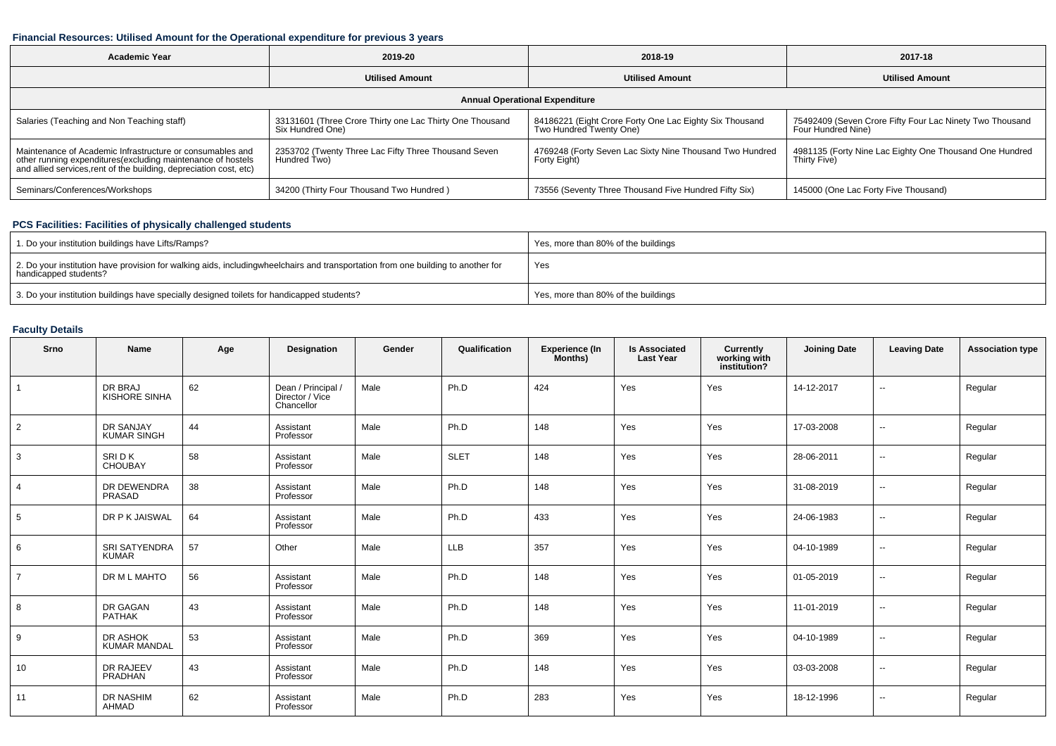## **Financial Resources: Utilised Amount for the Operational expenditure for previous 3 years**

| <b>Academic Year</b>                                                                                                                                                                           | 2019-20                                                                      |                                                                                    | 2017-18                                                                        |  |  |  |  |  |  |  |  |
|------------------------------------------------------------------------------------------------------------------------------------------------------------------------------------------------|------------------------------------------------------------------------------|------------------------------------------------------------------------------------|--------------------------------------------------------------------------------|--|--|--|--|--|--|--|--|
|                                                                                                                                                                                                | <b>Utilised Amount</b>                                                       | <b>Utilised Amount</b>                                                             | <b>Utilised Amount</b>                                                         |  |  |  |  |  |  |  |  |
| <b>Annual Operational Expenditure</b>                                                                                                                                                          |                                                                              |                                                                                    |                                                                                |  |  |  |  |  |  |  |  |
| Salaries (Teaching and Non Teaching staff)                                                                                                                                                     | 33131601 (Three Crore Thirty one Lac Thirty One Thousand<br>Six Hundred One) | 84186221 (Eight Crore Forty One Lac Eighty Six Thousand<br>Two Hundred Twenty One) | 75492409 (Seven Crore Fifty Four Lac Ninety Two Thousand<br>Four Hundred Nine) |  |  |  |  |  |  |  |  |
| Maintenance of Academic Infrastructure or consumables and<br>other running expenditures(excluding maintenance of hostels<br>and allied services, rent of the building, depreciation cost, etc) | 2353702 (Twenty Three Lac Fifty Three Thousand Seven<br>Hundred Two)         | 4769248 (Forty Seven Lac Sixty Nine Thousand Two Hundred<br>Forty Eight)           | 4981135 (Forty Nine Lac Eighty One Thousand One Hundred<br>Thirty Five)        |  |  |  |  |  |  |  |  |
| Seminars/Conferences/Workshops                                                                                                                                                                 | 34200 (Thirty Four Thousand Two Hundred)                                     | 73556 (Seventy Three Thousand Five Hundred Fifty Six)                              | 145000 (One Lac Forty Five Thousand)                                           |  |  |  |  |  |  |  |  |

## **PCS Facilities: Facilities of physically challenged students**

| 1. Do your institution buildings have Lifts/Ramps?                                                                                                        | Yes, more than 80% of the buildings |
|-----------------------------------------------------------------------------------------------------------------------------------------------------------|-------------------------------------|
| 2. Do your institution have provision for walking aids, includingwheelchairs and transportation from one building to another for<br>handicapped students? | Yes                                 |
| 3. Do your institution buildings have specially designed toilets for handicapped students?                                                                | Yes, more than 80% of the buildings |

## **Faculty Details**

| Srno           | Name                                   | Age | Designation                                         | Gender | Qualification | <b>Experience (In</b><br>Months) | <b>Is Associated</b><br><b>Last Year</b> | Currently<br>working with<br>institution? | <b>Joining Date</b> | <b>Leaving Date</b>      | <b>Association type</b> |
|----------------|----------------------------------------|-----|-----------------------------------------------------|--------|---------------|----------------------------------|------------------------------------------|-------------------------------------------|---------------------|--------------------------|-------------------------|
| $\overline{1}$ | DR BRAJ<br><b>KISHORE SINHA</b>        | 62  | Dean / Principal /<br>Director / Vice<br>Chancellor | Male   | Ph.D          | 424                              | Yes                                      | Yes                                       | 14-12-2017          | $\sim$                   | Regular                 |
| 2              | DR SANJAY<br><b>KUMAR SINGH</b>        | 44  | Assistant<br>Professor                              | Male   | Ph.D          | 148                              | Yes                                      | Yes                                       | 17-03-2008          | $\sim$                   | Regular                 |
| 3              | SRI D K<br><b>CHOUBAY</b>              | 58  | Assistant<br>Professor                              | Male   | <b>SLET</b>   | 148                              | Yes                                      | Yes                                       | 28-06-2011          | $\overline{\phantom{a}}$ | Regular                 |
| $\overline{4}$ | DR DEWENDRA<br>PRASAD                  | 38  | Assistant<br>Professor                              | Male   | Ph.D          | 148                              | Yes                                      | Yes                                       | 31-08-2019          | $\overline{\phantom{a}}$ | Regular                 |
| 5              | DR P K JAISWAL                         | 64  | Assistant<br>Professor                              | Male   | Ph.D          | 433                              | Yes                                      | Yes                                       | 24-06-1983          | $\sim$                   | Regular                 |
| 6              | <b>SRI SATYENDRA</b><br><b>KUMAR</b>   | 57  | Other                                               | Male   | <b>LLB</b>    | 357                              | Yes                                      | Yes                                       | 04-10-1989          | $\sim$                   | Regular                 |
| $\overline{7}$ | DR M L MAHTO                           | 56  | Assistant<br>Professor                              | Male   | Ph.D          | 148                              | Yes                                      | Yes                                       | 01-05-2019          | $\sim$                   | Regular                 |
| 8              | DR GAGAN<br>PATHAK                     | 43  | Assistant<br>Professor                              | Male   | Ph.D          | 148                              | Yes                                      | Yes                                       | 11-01-2019          | $\sim$                   | Regular                 |
| 9              | <b>DR ASHOK</b><br><b>KUMAR MANDAL</b> | 53  | Assistant<br>Professor                              | Male   | Ph.D          | 369                              | Yes                                      | Yes                                       | 04-10-1989          | $\sim$                   | Regular                 |
| 10             | DR RAJEEV<br>PRADHAN                   | 43  | Assistant<br>Professor                              | Male   | Ph.D          | 148                              | Yes                                      | Yes                                       | 03-03-2008          | $\sim$                   | Regular                 |
| 11             | DR NASHIM<br>AHMAD                     | 62  | Assistant<br>Professor                              | Male   | Ph.D          | 283                              | Yes                                      | Yes                                       | 18-12-1996          | $\overline{\phantom{a}}$ | Regular                 |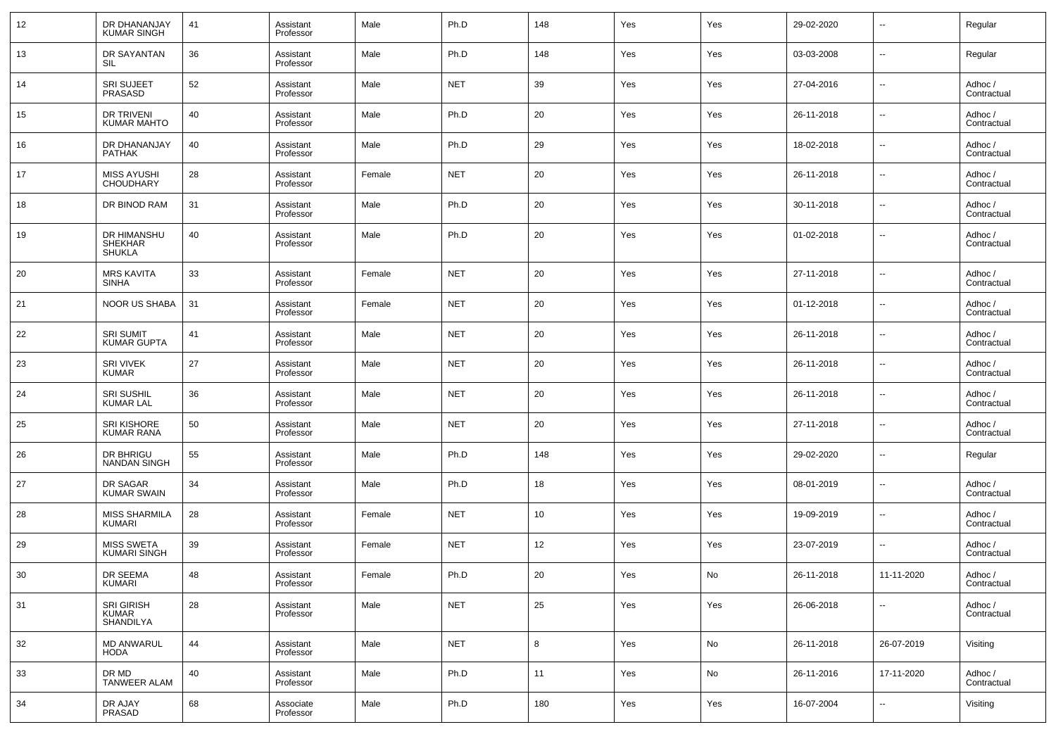| 12              | DR DHANANJAY<br><b>KUMAR SINGH</b>      | 41 | Assistant<br>Professor | Male   | Ph.D       | 148 | Yes | Yes | 29-02-2020 | $\overline{\phantom{a}}$ | Regular                |
|-----------------|-----------------------------------------|----|------------------------|--------|------------|-----|-----|-----|------------|--------------------------|------------------------|
| 13              | DR SAYANTAN<br>SIL                      | 36 | Assistant<br>Professor | Male   | Ph.D       | 148 | Yes | Yes | 03-03-2008 | $\overline{\phantom{a}}$ | Regular                |
| 14              | <b>SRI SUJEET</b><br><b>PRASASD</b>     | 52 | Assistant<br>Professor | Male   | <b>NET</b> | 39  | Yes | Yes | 27-04-2016 | $\overline{\phantom{a}}$ | Adhoc /<br>Contractual |
| 15              | DR TRIVENI<br><b>KUMAR MAHTO</b>        | 40 | Assistant<br>Professor | Male   | Ph.D       | 20  | Yes | Yes | 26-11-2018 | $\overline{\phantom{a}}$ | Adhoc /<br>Contractual |
| 16              | DR DHANANJAY<br><b>PATHAK</b>           | 40 | Assistant<br>Professor | Male   | Ph.D       | 29  | Yes | Yes | 18-02-2018 | $\overline{\phantom{a}}$ | Adhoc /<br>Contractual |
| 17              | <b>MISS AYUSHI</b><br><b>CHOUDHARY</b>  | 28 | Assistant<br>Professor | Female | <b>NET</b> | 20  | Yes | Yes | 26-11-2018 | $\overline{\phantom{a}}$ | Adhoc /<br>Contractual |
| 18              | DR BINOD RAM                            | 31 | Assistant<br>Professor | Male   | Ph.D       | 20  | Yes | Yes | 30-11-2018 | $\overline{\phantom{a}}$ | Adhoc /<br>Contractual |
| 19              | DR HIMANSHU<br>SHEKHAR<br><b>SHUKLA</b> | 40 | Assistant<br>Professor | Male   | Ph.D       | 20  | Yes | Yes | 01-02-2018 | $\overline{\phantom{a}}$ | Adhoc /<br>Contractual |
| 20              | <b>MRS KAVITA</b><br><b>SINHA</b>       | 33 | Assistant<br>Professor | Female | <b>NET</b> | 20  | Yes | Yes | 27-11-2018 | $\overline{\phantom{a}}$ | Adhoc /<br>Contractual |
| 21              | <b>NOOR US SHABA</b>                    | 31 | Assistant<br>Professor | Female | <b>NET</b> | 20  | Yes | Yes | 01-12-2018 | $\overline{\phantom{a}}$ | Adhoc /<br>Contractual |
| 22              | <b>SRI SUMIT</b><br><b>KUMAR GUPTA</b>  | 41 | Assistant<br>Professor | Male   | <b>NET</b> | 20  | Yes | Yes | 26-11-2018 | $\sim$                   | Adhoc /<br>Contractual |
| 23              | <b>SRI VIVEK</b><br><b>KUMAR</b>        | 27 | Assistant<br>Professor | Male   | <b>NET</b> | 20  | Yes | Yes | 26-11-2018 | $\overline{\phantom{a}}$ | Adhoc /<br>Contractual |
| 24              | SRI SUSHIL<br>KUMAR LAL                 | 36 | Assistant<br>Professor | Male   | <b>NET</b> | 20  | Yes | Yes | 26-11-2018 | $\overline{\phantom{a}}$ | Adhoc /<br>Contractual |
| 25              | SRI KISHORE<br>KUMAR RANA               | 50 | Assistant<br>Professor | Male   | <b>NET</b> | 20  | Yes | Yes | 27-11-2018 | $\overline{\phantom{a}}$ | Adhoc /<br>Contractual |
| 26              | DR BHRIGU<br>NANDAN SINGH               | 55 | Assistant<br>Professor | Male   | Ph.D       | 148 | Yes | Yes | 29-02-2020 | $\overline{\phantom{a}}$ | Regular                |
| 27              | DR SAGAR<br>KUMAR SWAIN                 | 34 | Assistant<br>Professor | Male   | Ph.D       | 18  | Yes | Yes | 08-01-2019 | $\overline{\phantom{a}}$ | Adhoc /<br>Contractual |
| 28              | MISS SHARMILA<br>KUMARI                 | 28 | Assistant<br>Professor | Female | <b>NET</b> | 10  | Yes | Yes | 19-09-2019 | $\overline{\phantom{a}}$ | Adhoc /<br>Contractual |
| 29              | MISS SWETA<br>KUMARI SINGH              | 39 | Assistant<br>Professor | Female | <b>NET</b> | 12  | Yes | Yes | 23-07-2019 | $\overline{\phantom{a}}$ | Adhoc /<br>Contractual |
| 30 <sup>°</sup> | DR SEEMA<br>KUMARI                      | 48 | Assistant<br>Professor | Female | Ph.D       | 20  | Yes | No  | 26-11-2018 | 11-11-2020               | Adhoc /<br>Contractual |
| 31              | SRI GIRISH<br>KUMAR<br>SHANDILYA        | 28 | Assistant<br>Professor | Male   | <b>NET</b> | 25  | Yes | Yes | 26-06-2018 | $\overline{\phantom{a}}$ | Adhoc /<br>Contractual |
| 32              | <b>MD ANWARUL</b><br>HODA               | 44 | Assistant<br>Professor | Male   | <b>NET</b> | 8   | Yes | No  | 26-11-2018 | 26-07-2019               | Visiting               |
| 33              | DR MD<br><b>TANWEER ALAM</b>            | 40 | Assistant<br>Professor | Male   | Ph.D       | 11  | Yes | No  | 26-11-2016 | 17-11-2020               | Adhoc /<br>Contractual |
| 34              | DR AJAY<br>PRASAD                       | 68 | Associate<br>Professor | Male   | Ph.D       | 180 | Yes | Yes | 16-07-2004 | ۰.                       | Visiting               |